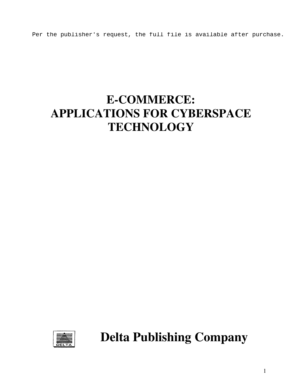Per the publisher's request, the full file is available after purchase.

# **E-COMMERCE: APPLICATIONS FOR CYBERSPACE TECHNOLOGY**



**Delta Publishing Company**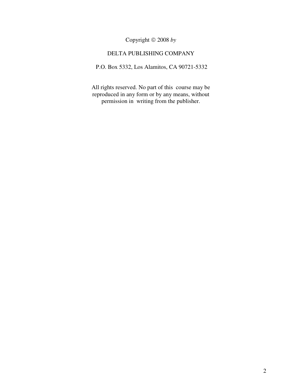### Copyright 2008 *by*

#### DELTA PUBLISHING COMPANY

P.O. Box 5332, Los Alamitos, CA 90721-5332

All rights reserved. No part of this course may be reproduced in any form or by any means, without permission in writing from the publisher.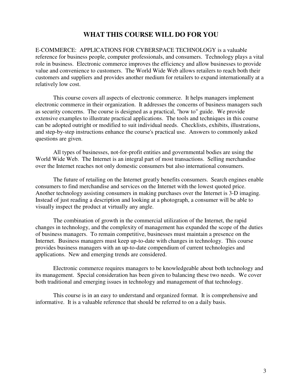## **WHAT THIS COURSE WILL DO FOR YOU**

E-COMMERCE: APPLICATIONS FOR CYBERSPACE TECHNOLOGY is a valuable reference for business people, computer professionals, and consumers. Technology plays a vital role in business. Electronic commerce improves the efficiency and allow businesses to provide value and convenience to customers. The World Wide Web allows retailers to reach both their customers and suppliers and provides another medium for retailers to expand internationally at a relatively low cost.

This course covers all aspects of electronic commerce. It helps managers implement electronic commerce in their organization. It addresses the concerns of business managers such as security concerns. The course is designed as a practical, "how to" guide. We provide extensive examples to illustrate practical applications. The tools and techniques in this course can be adopted outright or modified to suit individual needs. Checklists, exhibits, illustrations, and step-by-step instructions enhance the course's practical use. Answers to commonly asked questions are given.

All types of businesses, not-for-profit entities and governmental bodies are using the World Wide Web. The Internet is an integral part of most transactions. Selling merchandise over the Internet reaches not only domestic consumers but also international consumers.

The future of retailing on the Internet greatly benefits consumers. Search engines enable consumers to find merchandise and services on the Internet with the lowest quoted price. Another technology assisting consumers in making purchases over the Internet is 3-D imaging. Instead of just reading a description and looking at a photograph, a consumer will be able to visually inspect the product at virtually any angle.

The combination of growth in the commercial utilization of the Internet, the rapid changes in technology, and the complexity of management has expanded the scope of the duties of business managers. To remain competitive, businesses must maintain a presence on the Internet. Business managers must keep up-to-date with changes in technology. This course provides business managers with an up-to-date compendium of current technologies and applications. New and emerging trends are considered.

Electronic commerce requires managers to be knowledgeable about both technology and its management. Special consideration has been given to balancing these two needs. We cover both traditional and emerging issues in technology and management of that technology.

This course is in an easy to understand and organized format. It is comprehensive and informative. It is a valuable reference that should be referred to on a daily basis.